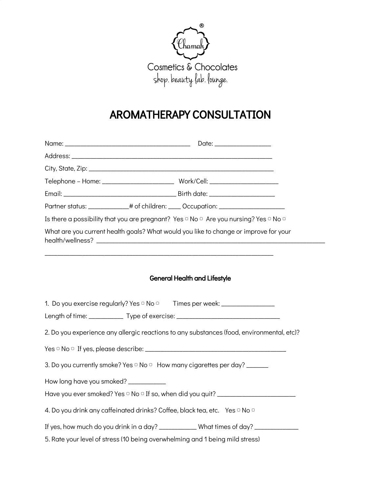

# AROMATHERAPY CONSULTATION

| Partner status: _____________# of children: ____ Occupation: ___________________ |                                                                                                                              |  |  |  |  |
|----------------------------------------------------------------------------------|------------------------------------------------------------------------------------------------------------------------------|--|--|--|--|
|                                                                                  | Is there a possibility that you are pregnant? Yes $\circ$ No $\circ$ Are you nursing? Yes $\circ$ No $\circ$                 |  |  |  |  |
|                                                                                  | What are you current health goals? What would you like to change or improve for your                                         |  |  |  |  |
|                                                                                  | <b>General Health and Lifestyle</b><br>1. Do you exercise regularly? Yes $\circ$ No $\circ$ Times per week: ________________ |  |  |  |  |
|                                                                                  | Length of time: ________________ Type of exercise: ______________________________                                            |  |  |  |  |
|                                                                                  | 2. Do you experience any allergic reactions to any substances (food, environmental, etc)?                                    |  |  |  |  |
|                                                                                  |                                                                                                                              |  |  |  |  |
|                                                                                  | 3. Do you currently smoke? Yes □ No □ How many cigarettes per day? ______                                                    |  |  |  |  |
| How long have you smoked? ___________                                            |                                                                                                                              |  |  |  |  |
|                                                                                  |                                                                                                                              |  |  |  |  |
|                                                                                  | 4. Do you drink any caffeinated drinks? Coffee, black tea, etc. Yes <sup>o</sup> No <sup>o</sup>                             |  |  |  |  |
|                                                                                  | If yes, how much do you drink in a day? _____________What times of day? _________                                            |  |  |  |  |
|                                                                                  | 5. Rate your level of stress (10 being overwhelming and 1 being mild stress)                                                 |  |  |  |  |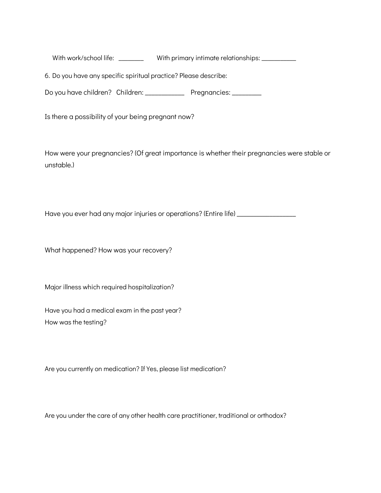With work/school life: \_\_\_\_\_\_\_\_ With primary intimate relationships: \_\_\_\_\_\_\_\_\_\_

6. Do you have any specific spiritual practice? Please describe:

Do you have children? Children: \_\_\_\_\_\_\_\_\_\_\_\_\_\_\_ Pregnancies: \_\_\_\_\_\_\_\_\_

Is there a possibility of your being pregnant now?

How were your pregnancies? (Of great importance is whether their pregnancies were stable or unstable.)

Have you ever had any major injuries or operations? (Entire life) \_\_\_\_\_\_\_\_\_\_\_\_\_\_

What happened? How was your recovery?

Major illness which required hospitalization?

Have you had a medical exam in the past year? How was the testing?

Are you currently on medication? If Yes, please list medication?

Are you under the care of any other health care practitioner, traditional or orthodox?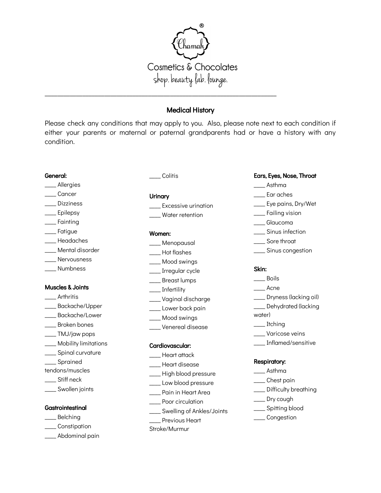

# Medical History

Please check any conditions that may apply to you. Also, please note next to each condition if either your parents or maternal or paternal grandparents had or have a history with any condition.

#### General:

- \_\_\_\_ Allergies
- \_\_\_\_ Cancer
- \_\_\_\_ Dizziness \_\_\_\_ Epilepsy
- \_\_\_\_ Fainting
- \_\_\_\_ Fatigue
- \_\_\_\_ Headaches
- \_\_\_\_ Mental disorder
- \_\_\_\_ Nervousness
- \_\_\_\_ Numbness

## Muscles & Joints

- \_\_\_\_ Arthritis
- \_\_\_\_ Backache/Upper
- \_\_\_\_ Backache/Lower
- \_\_\_\_ Broken bones
- \_\_\_\_ TMJ/jaw pops
- \_\_\_\_ Mobility limitations
- \_\_\_\_ Spinal curvature
- \_\_\_\_ Sprained
- tendons/muscles
- \_\_\_\_ Stiff neck
- \_\_\_\_ Swollen joints

# **Gastrointestinal**

- \_\_\_\_ Belching
- \_\_\_\_ Constipation
- \_\_\_\_ Abdominal pain

\_\_\_\_ Colitis

### **Urinary**

- **\_\_\_** Excessive urination
- \_\_\_\_ Water retention

#### Women:

- \_\_\_\_ Menopausal
- \_\_\_\_ Hot flashes
- \_\_\_\_ Mood swings
- \_\_\_\_ Irregular cycle
- \_\_\_\_ Breast lumps
- \_\_\_\_ Infertility
- \_\_\_\_ Vaginal discharge
- \_\_\_\_ Lower back pain
- \_\_\_\_ Mood swings
- \_\_\_\_ Venereal disease

# Cardiovascular:

- \_\_\_\_ Heart attack
- \_\_\_\_ Heart disease
- \_\_\_\_ High blood pressure
- \_\_\_\_ Low blood pressure
- \_\_\_\_ Pain in Heart Area
- \_\_\_\_ Poor circulation
- \_\_\_\_ Swelling of Ankles/Joints
- \_\_\_\_ Previous Heart
- Stroke/Murmur

## Ears, Eyes, Nose, Throat

- \_\_\_\_ Asthma
- \_\_\_\_ Ear aches
- \_\_\_ Eye pains, Dry/Wet
- \_\_\_\_ Failing vision
- \_\_\_\_ Glaucoma
- \_\_\_\_ Sinus infection
- \_\_\_\_ Sore throat
- \_\_\_\_ Sinus congestion

## Skin:

- \_\_\_\_ Boils
- \_\_\_\_ Acne
- \_\_\_\_ Dryness (lacking oil)
- \_\_\_\_ Dehydrated (lacking
- water)
- \_\_\_\_ Itching
- \_\_\_\_ Varicose veins
- \_\_\_\_ Inflamed/sensitive

#### Respiratory:

- \_\_\_\_ Asthma
- \_\_\_\_ Chest pain
- \_\_\_\_ Difficulty breathing
- \_\_\_\_ Dry cough
- \_\_\_\_ Spitting blood
- \_\_\_\_ Congestion
- 
- 
- 
- 
- 
-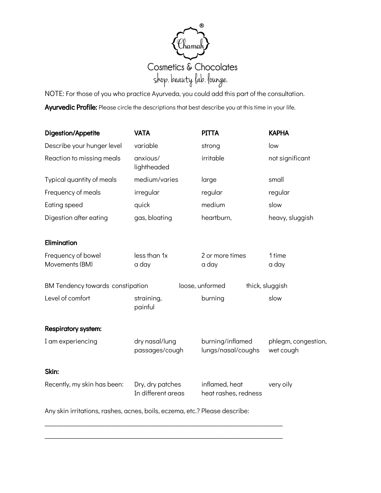

NOTE: For those of you who practice Ayurveda, you could add this part of the consultation. Ayurvedic Profile: Please circle the descriptions that best describe you at this time in your life.

| Digestion/Appetite                                                         | <b>VATA</b>                            | <b>PITTA</b>                           | <b>KAPHA</b>                     |
|----------------------------------------------------------------------------|----------------------------------------|----------------------------------------|----------------------------------|
| Describe your hunger level                                                 | variable                               | strong                                 | low                              |
| Reaction to missing meals                                                  | anxious/<br>lightheaded                | irritable                              | not significant                  |
| Typical quantity of meals                                                  | medium/varies                          | large                                  | small                            |
| Frequency of meals                                                         | irregular                              | regular                                | regular                          |
| Eating speed                                                               | quick                                  | medium                                 | slow                             |
| Digestion after eating                                                     | gas, bloating                          | heartburn,                             | heavy, sluggish                  |
| Elimination                                                                |                                        |                                        |                                  |
| Frequency of bowel<br>Movements (BM)                                       | less than 1x<br>a day                  | 2 or more times<br>a day               | 1 time<br>a day                  |
| <b>BM Tendency towards constipation</b>                                    |                                        | loose, unformed                        | thick, sluggish                  |
| Level of comfort                                                           | straining,<br>painful                  | burning                                | slow                             |
| Respiratory system:                                                        |                                        |                                        |                                  |
| I am experiencing                                                          | dry nasal/lung<br>passages/cough       | burning/inflamed<br>lungs/nasal/coughs | phlegm, congestion,<br>wet cough |
| Skin:                                                                      |                                        |                                        |                                  |
| Recently, my skin has been:                                                | Dry, dry patches<br>In different areas | inflamed, heat<br>heat rashes, redness |                                  |
| Any skin irritations, rashes, acnes, boils, eczema, etc.? Please describe: |                                        |                                        |                                  |

\_\_\_\_\_\_\_\_\_\_\_\_\_\_\_\_\_\_\_\_\_\_\_\_\_\_\_\_\_\_\_\_\_\_\_\_\_\_\_\_\_\_\_\_\_\_\_\_\_\_\_\_\_\_\_\_\_\_\_\_\_\_\_\_\_\_\_\_\_\_\_\_\_\_\_\_

\_\_\_\_\_\_\_\_\_\_\_\_\_\_\_\_\_\_\_\_\_\_\_\_\_\_\_\_\_\_\_\_\_\_\_\_\_\_\_\_\_\_\_\_\_\_\_\_\_\_\_\_\_\_\_\_\_\_\_\_\_\_\_\_\_\_\_\_\_\_\_\_\_\_\_\_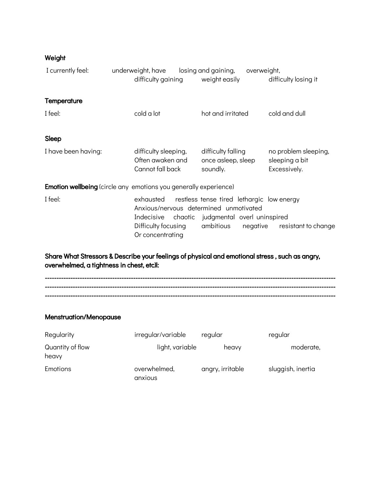# Weight

| I currently feel:                                                                                                                           | underweight, have<br>difficulty gaining                      | losing and gaining,<br>weight easily                                                                                                                         | overweight,<br>difficulty losing it                    |  |
|---------------------------------------------------------------------------------------------------------------------------------------------|--------------------------------------------------------------|--------------------------------------------------------------------------------------------------------------------------------------------------------------|--------------------------------------------------------|--|
| Temperature                                                                                                                                 |                                                              |                                                                                                                                                              |                                                        |  |
| I feel:                                                                                                                                     | cold a lot                                                   | hot and irritated                                                                                                                                            | cold and dull                                          |  |
| Sleep                                                                                                                                       |                                                              |                                                                                                                                                              |                                                        |  |
| I have been having:                                                                                                                         | difficulty sleeping,<br>Often awaken and<br>Cannot fall back | difficulty falling<br>once asleep, sleep<br>soundly.                                                                                                         | no problem sleeping,<br>sleeping a bit<br>Excessively. |  |
| <b>Emotion wellbeing</b> (circle any emotions you generally experience)                                                                     |                                                              |                                                                                                                                                              |                                                        |  |
| I feel:                                                                                                                                     | Difficulty focusing<br>Or concentrating                      | exhausted restless tense tired lethargic low energy<br>Anxious/nervous determined unmotivated<br>Indecisive chaotic judgmental overl uninspired<br>ambitious | negative resistant to change                           |  |
| Share What Stressors & Describe your feelings of physical and emotional stress, such as angry,<br>overwhelmed, a tightness in chest, etc)l: |                                                              |                                                                                                                                                              |                                                        |  |
|                                                                                                                                             |                                                              |                                                                                                                                                              |                                                        |  |

# Menstruation/Menopause

| Regularity                | irregular/variable      | regular          | regular           |
|---------------------------|-------------------------|------------------|-------------------|
| Quantity of flow<br>heavy | light, variable         | heavy            | moderate,         |
| Emotions                  | overwhelmed,<br>anxious | angry, irritable | sluggish, inertia |